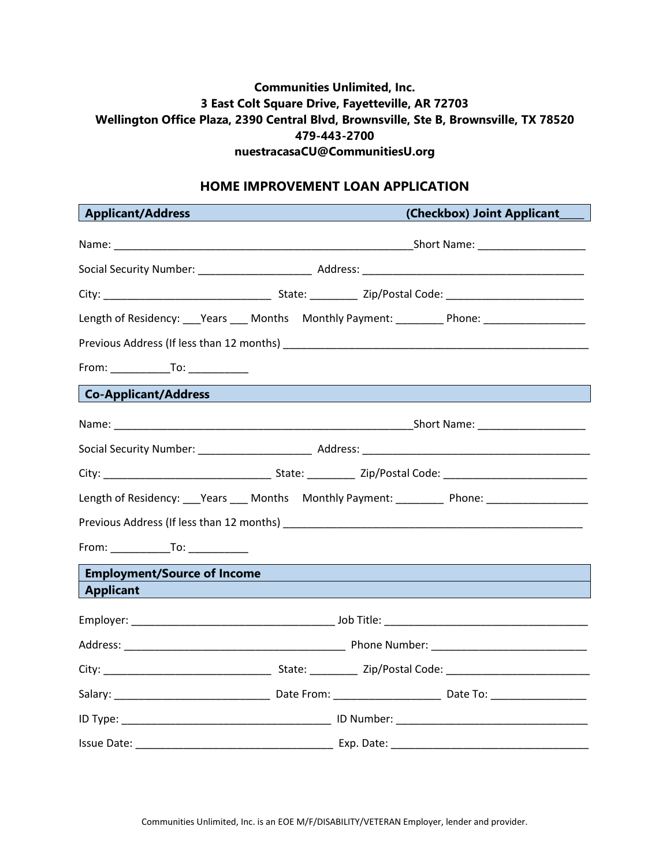## **Communities Unlimited, Inc. 3 East Colt Square Drive, Fayetteville, AR 72703 Wellington Office Plaza, 2390 Central Blvd, Brownsville, Ste B, Brownsville, TX 78520 479-443-2700 nuestracasaCU@CommunitiesU.org**

#### **HOME IMPROVEMENT LOAN APPLICATION**

| <b>Applicant/Address</b>                                                                           |                                                                                                                                                                             | (Checkbox) Joint Applicant |
|----------------------------------------------------------------------------------------------------|-----------------------------------------------------------------------------------------------------------------------------------------------------------------------------|----------------------------|
|                                                                                                    |                                                                                                                                                                             |                            |
|                                                                                                    |                                                                                                                                                                             |                            |
|                                                                                                    |                                                                                                                                                                             |                            |
| Length of Residency: ___Years ___ Months Monthly Payment: _________ Phone: ___________________     |                                                                                                                                                                             |                            |
|                                                                                                    |                                                                                                                                                                             |                            |
| $From: ____________ To: ____________$                                                              |                                                                                                                                                                             |                            |
| <b>Co-Applicant/Address</b>                                                                        | <u> 1989 - Johann Stein, marwolaethau a bhann an t-Amhair ann an t-Amhair an t-Amhair an t-Amhair an t-Amhair an</u>                                                        |                            |
|                                                                                                    |                                                                                                                                                                             |                            |
|                                                                                                    |                                                                                                                                                                             |                            |
|                                                                                                    |                                                                                                                                                                             |                            |
| Length of Residency: ___Years ____ Months Monthly Payment: _________ Phone: ______________________ |                                                                                                                                                                             |                            |
|                                                                                                    |                                                                                                                                                                             |                            |
|                                                                                                    |                                                                                                                                                                             |                            |
| <b>Employment/Source of Income</b>                                                                 |                                                                                                                                                                             |                            |
| <b>Applicant</b>                                                                                   | $\mathcal{L}^{\text{max}}_{\text{max}}$ and $\mathcal{L}^{\text{max}}_{\text{max}}$ and $\mathcal{L}^{\text{max}}_{\text{max}}$ and $\mathcal{L}^{\text{max}}_{\text{max}}$ |                            |
|                                                                                                    |                                                                                                                                                                             |                            |
|                                                                                                    |                                                                                                                                                                             |                            |
|                                                                                                    |                                                                                                                                                                             |                            |
|                                                                                                    |                                                                                                                                                                             |                            |
|                                                                                                    |                                                                                                                                                                             |                            |
|                                                                                                    |                                                                                                                                                                             |                            |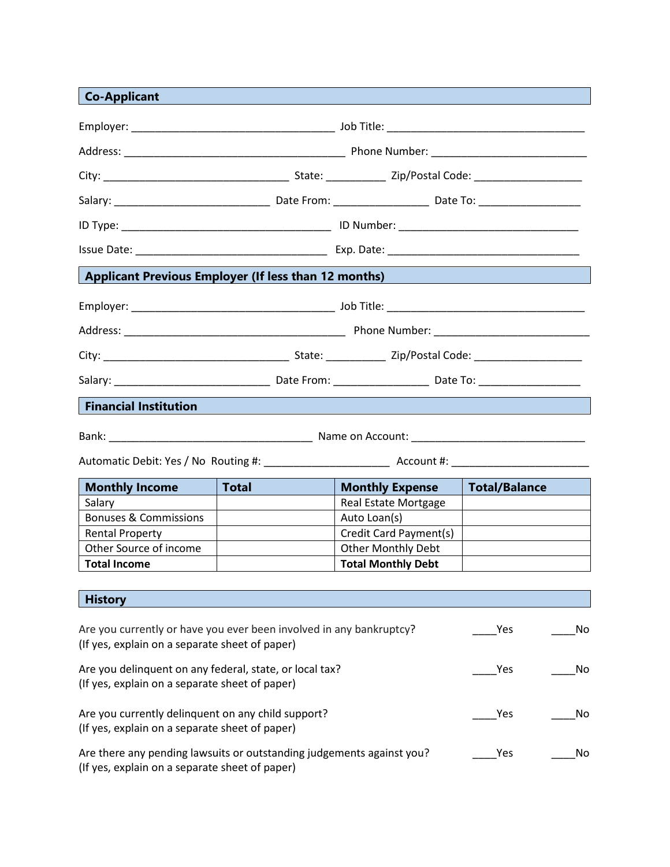# **Co-Applicant**

| Applicant Previous Employer (If less than 12 months) Applicant Previous                              |              |                           |                      |  |  |
|------------------------------------------------------------------------------------------------------|--------------|---------------------------|----------------------|--|--|
|                                                                                                      |              |                           |                      |  |  |
|                                                                                                      |              |                           |                      |  |  |
|                                                                                                      |              |                           |                      |  |  |
|                                                                                                      |              |                           |                      |  |  |
|                                                                                                      |              |                           |                      |  |  |
| <b>Financial Institution</b>                                                                         |              |                           |                      |  |  |
|                                                                                                      |              |                           |                      |  |  |
|                                                                                                      |              |                           |                      |  |  |
|                                                                                                      | <b>Total</b> | <b>Monthly Expense</b>    |                      |  |  |
| <b>Monthly Income</b><br>Salary                                                                      |              | Real Estate Mortgage      | <b>Total/Balance</b> |  |  |
| <b>Bonuses &amp; Commissions</b>                                                                     |              | Auto Loan(s)              |                      |  |  |
| <b>Rental Property</b>                                                                               |              | Credit Card Payment(s)    |                      |  |  |
| Other Source of income                                                                               |              | <b>Other Monthly Debt</b> |                      |  |  |
| <b>Total Income</b>                                                                                  |              | <b>Total Monthly Debt</b> |                      |  |  |
|                                                                                                      |              |                           |                      |  |  |
| <b>History</b>                                                                                       |              |                           |                      |  |  |
|                                                                                                      |              |                           |                      |  |  |
| Are you currently or have you ever been involved in any bankruptcy?                                  |              |                           | Yes<br>No            |  |  |
| (If yes, explain on a separate sheet of paper)                                                       |              |                           |                      |  |  |
| Are you delinquent on any federal, state, or local tax?                                              |              |                           | Yes<br>No            |  |  |
| (If yes, explain on a separate sheet of paper)                                                       |              |                           |                      |  |  |
|                                                                                                      |              |                           |                      |  |  |
| Are you currently delinquent on any child support?<br>(If yes, explain on a separate sheet of paper) |              |                           | Yes<br>No            |  |  |
| Are there any pending lawsuits or outstanding judgements against you?                                |              |                           |                      |  |  |
| (If yes, explain on a separate sheet of paper)                                                       | No<br>Yes    |                           |                      |  |  |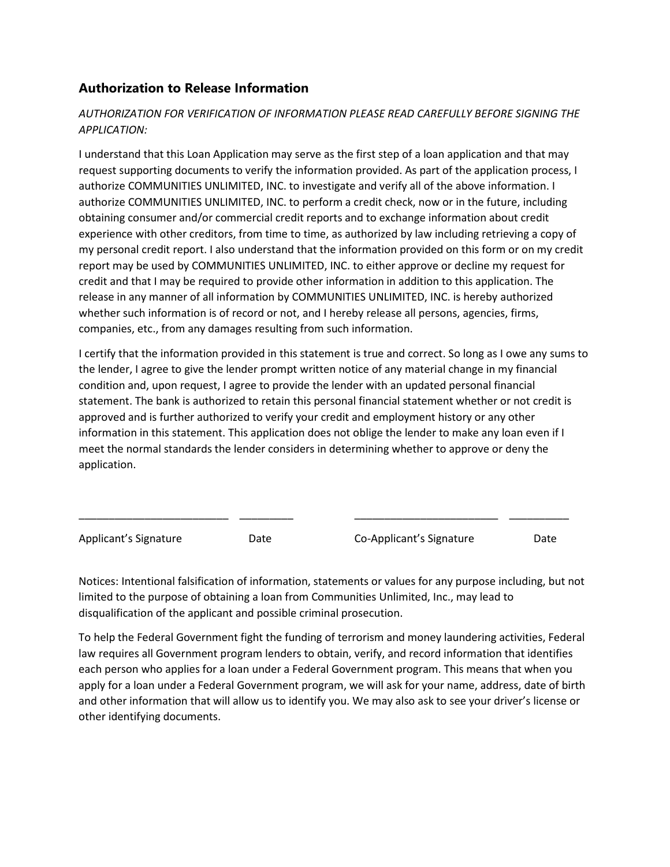## **Authorization to Release Information**

### *AUTHORIZATION FOR VERIFICATION OF INFORMATION PLEASE READ CAREFULLY BEFORE SIGNING THE APPLICATION:*

I understand that this Loan Application may serve as the first step of a loan application and that may request supporting documents to verify the information provided. As part of the application process, I authorize COMMUNITIES UNLIMITED, INC. to investigate and verify all of the above information. I authorize COMMUNITIES UNLIMITED, INC. to perform a credit check, now or in the future, including obtaining consumer and/or commercial credit reports and to exchange information about credit experience with other creditors, from time to time, as authorized by law including retrieving a copy of my personal credit report. I also understand that the information provided on this form or on my credit report may be used by COMMUNITIES UNLIMITED, INC. to either approve or decline my request for credit and that I may be required to provide other information in addition to this application. The release in any manner of all information by COMMUNITIES UNLIMITED, INC. is hereby authorized whether such information is of record or not, and I hereby release all persons, agencies, firms, companies, etc., from any damages resulting from such information.

I certify that the information provided in this statement is true and correct. So long as I owe any sums to the lender, I agree to give the lender prompt written notice of any material change in my financial condition and, upon request, I agree to provide the lender with an updated personal financial statement. The bank is authorized to retain this personal financial statement whether or not credit is approved and is further authorized to verify your credit and employment history or any other information in this statement. This application does not oblige the lender to make any loan even if I meet the normal standards the lender considers in determining whether to approve or deny the application.

Applicant's Signature **Date** Date Co-Applicant's Signature Date

Notices: Intentional falsification of information, statements or values for any purpose including, but not limited to the purpose of obtaining a loan from Communities Unlimited, Inc., may lead to disqualification of the applicant and possible criminal prosecution.

\_\_\_\_\_\_\_\_\_\_\_\_\_\_\_\_\_\_\_\_\_\_\_\_\_ \_\_\_\_\_\_\_\_\_ \_\_\_\_\_\_\_\_\_\_\_\_\_\_\_\_\_\_\_\_\_\_\_\_ \_\_\_\_\_\_\_\_\_\_

To help the Federal Government fight the funding of terrorism and money laundering activities, Federal law requires all Government program lenders to obtain, verify, and record information that identifies each person who applies for a loan under a Federal Government program. This means that when you apply for a loan under a Federal Government program, we will ask for your name, address, date of birth and other information that will allow us to identify you. We may also ask to see your driver's license or other identifying documents.